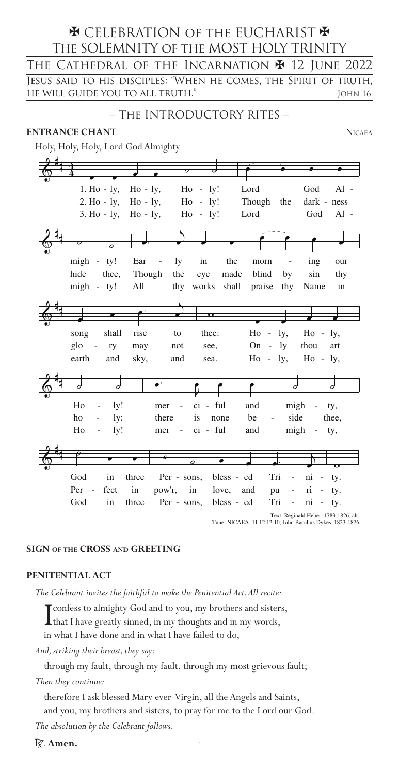# **\* CELEBRATION OF THE EUCHARIST \*** The SOLEMNITY of the MOST HOLY TRINITY Jesus said to his disciples: "When he comes, the Spirit of truth, he will guide you to all truth." John 16 The Cathedral of the Incarnation  $\blacktriangleright$  12 June 2022

# – The INTRODUCTORY RITES –

#### **ENTRANCE CHANT** NICAEA

Holy, Holy, Holy, Lord God Almighty

| $1.$ Ho $-$ ly,                                          | $Ho - ly,$            | $Ho - ly!$                   |            | Lord                           | God                              | $Al -$                              |  |
|----------------------------------------------------------|-----------------------|------------------------------|------------|--------------------------------|----------------------------------|-------------------------------------|--|
| $2.$ Ho - $1y$ ,                                         | $Ho - ly,$            | $H_0$ -                      | ly!        | Though                         | the                              | dark - ness                         |  |
| $3. Ho - ly, Ho - ly,$                                   |                       | $Ho - ly!$                   |            | Lord                           | God                              | $Al -$                              |  |
|                                                          |                       |                              |            |                                |                                  |                                     |  |
|                                                          |                       |                              |            |                                |                                  |                                     |  |
|                                                          |                       |                              |            |                                |                                  |                                     |  |
| migh<br>ty!<br>$\sim$                                    | Ear<br>$\overline{a}$ | in<br>ly                     | the        | morn                           | ing                              | our                                 |  |
| hide<br>thee,                                            | Though                | the<br>eye                   | made       | blind                          | sin<br>by                        | thy                                 |  |
| $migh - ty!$                                             | All                   | works<br>thy                 | shall      | praise                         | Name<br>thy                      | in                                  |  |
|                                                          |                       |                              |            |                                |                                  |                                     |  |
|                                                          |                       |                              | $\Omega$   |                                |                                  |                                     |  |
|                                                          |                       |                              |            |                                |                                  |                                     |  |
| shall<br>song                                            | rise                  | to                           | thee:      | Ho<br>$\overline{\phantom{a}}$ | ly,                              | $Ho - ly,$                          |  |
| glo<br>$\qquad \qquad -$<br>ry                           | may                   | not                          | see,       | On<br>$\overline{\phantom{0}}$ | ly<br>thou                       | art                                 |  |
| earth<br>and                                             | sky,                  | and                          | sea.       | Ho<br>$-1y$ ,                  |                                  | $Ho - ly$ ,                         |  |
|                                                          |                       |                              |            |                                |                                  |                                     |  |
|                                                          |                       |                              |            |                                |                                  | Ο                                   |  |
|                                                          |                       |                              |            |                                |                                  |                                     |  |
| Ho<br>ly!                                                | mer                   | $\qquad \qquad \blacksquare$ | ci - ful   | and                            | migh                             | ty,                                 |  |
| ho<br>ly:                                                | there                 | is                           | none       | be                             | side                             | thee,                               |  |
| Ho<br>ly!                                                | mer                   | $\qquad \qquad \blacksquare$ | ci - ful   | and                            | migh<br>$\overline{\phantom{a}}$ | ty,                                 |  |
|                                                          |                       |                              |            |                                |                                  |                                     |  |
|                                                          |                       |                              |            |                                |                                  |                                     |  |
|                                                          |                       |                              |            |                                |                                  | $\sigma$                            |  |
| God<br>in                                                | three                 | Per - sons,                  | bless - ed | Tri                            | ni<br>$\frac{1}{2}$              | $\overline{\phantom{a}}$<br>ty.     |  |
| Per<br>fect                                              | in<br>pow'r,          | in                           | love,      | and<br>pu                      | ri                               | ty.                                 |  |
| God<br>in                                                | three                 | Per - sons,                  | bless - ed | Tri                            | ni<br>$\overline{\phantom{0}}$   | ty.<br>$\qquad \qquad \blacksquare$ |  |
| Text: Reginald Heber, 1783-1826, alt.                    |                       |                              |            |                                |                                  |                                     |  |
| Tune: NICAEA, 11 12 12 10; John Bacchus Dykes, 1823-1876 |                       |                              |            |                                |                                  |                                     |  |

#### **SIGN of the CROSS and GREETING**

#### **PENITENTIAL ACT**

*The Celebrant invites the faithful to make the Penitential Act. All recite:*

I confess to almighty God and to you, my brothers and sisters, that I have greatly sinned, in my thoughts and in my words, in what I have done and in what I have failed to do,

*And, striking their breast, they say:*

through my fault, through my fault, through my most grievous fault;

*Then they continue:*

therefore I ask blessed Mary ever-Virgin, all the Angels and Saints, and you, my brothers and sisters, to pray for me to the Lord our God.

*The absolution by the Celebrant follows.* 

R. **Amen.**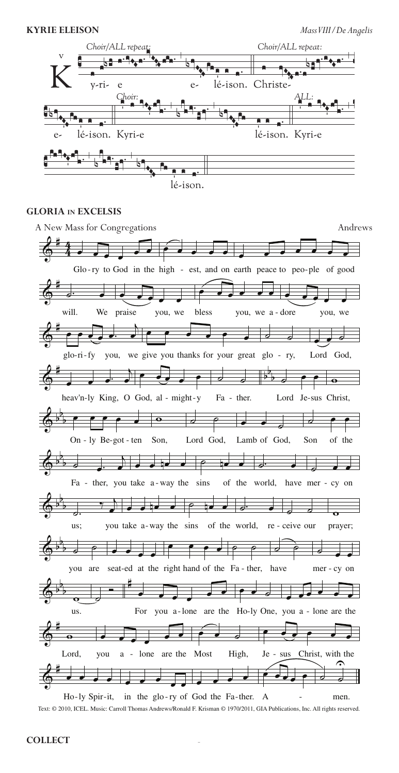

#### **GLORIA IN EXCELSIS**



Text: © 2010, ICEL. Music: Carroll Thomas Andrews/Ronald F. Krisman © 1970/2011, GIA Publications, Inc. All rights reserved.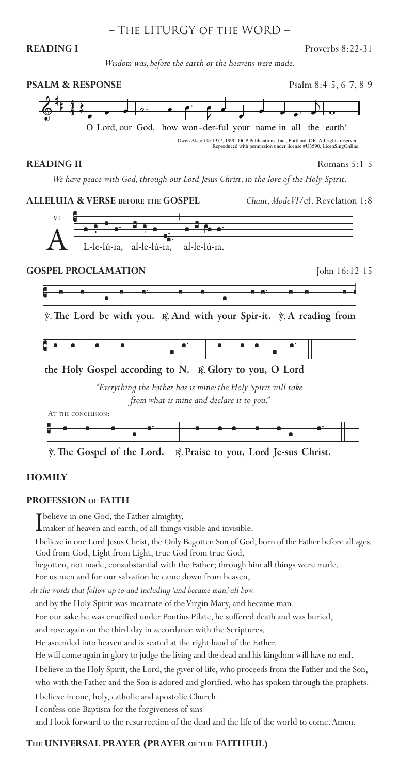# – The LITURGY of the WORD –

#### **READING I** Proverbs 8:22-31

*Wisdom was, before the earth or the heavens were made.*



*"Everything the Father has is mine; the Holy Spirit will take from what is mine and declare it to you."*



#### **HOMILY**

#### **PROFESSION of FAITH**

I believe in one God, the Father almighty, maker of heaven and earth, of all things visible and invisible.

I believe in one Lord Jesus Christ, the Only Begotten Son of God, born of the Father before all ages. God from God, Light from Light, true God from true God,

begotten, not made, consubstantial with the Father; through him all things were made.

For us men and for our salvation he came down from heaven, *At the words that follow up to and including 'and became man,' all bow.*

and by the Holy Spirit was incarnate of the Virgin Mary, and became man.

For our sake he was crucified under Pontius Pilate, he suffered death and was buried,

and rose again on the third day in accordance with the Scriptures.

He ascended into heaven and is seated at the right hand of the Father.

He will come again in glory to judge the living and the dead and his kingdom will have no end.

I believe in the Holy Spirit, the Lord, the giver of life, who proceeds from the Father and the Son, who with the Father and the Son is adored and glorified, who has spoken through the prophets.

I believe in one, holy, catholic and apostolic Church.

I confess one Baptism for the forgiveness of sins

and I look forward to the resurrection of the dead and the life of the world to come. Amen.

# 3 **The UNIVERSAL PRAYER (PRAYER of the FAITHFUL)**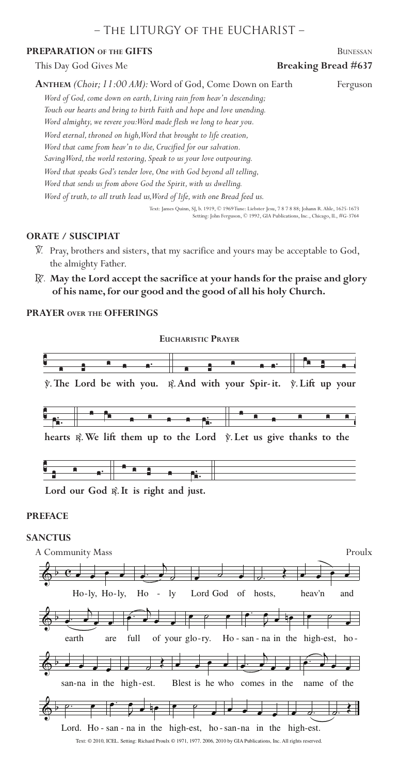# – The LITURGY of the EUCHARIST –

#### **PREPARATION OF THE GIFTS** BUNESSAN

This Day God Gives Me **Breaking Bread #637** 

| ANTHEM (Choir; 11:00 AM): Word of God, Come Down on Earth                  | Ferguson |
|----------------------------------------------------------------------------|----------|
| Word of God, come down on earth, Living rain from heav'n descending;       |          |
| Touch our hearts and bring to birth Faith and hope and love unending.      |          |
| Word almighty, we revere you: Word made flesh we long to hear you.         |          |
| Word eternal, throned on high, Word that brought to life creation,         |          |
| Word that came from heav'n to die, Crucified for our salvation.            |          |
| Saving Word, the world restoring, Speak to us your love outpouring.        |          |
| Word that speaks God's tender love, One with God beyond all telling,       |          |
| Word that sends us from above God the Spirit, with us dwelling.            |          |
| Word of truth, to all truth lead us, Word of life, with one Bread feed us. |          |

Text: James Quinn, SJ, b. 1919, © 1969 Tune: Liebster Jesu, 7 8 7 8 88; Johann R. Ahle, 1625-1673 etting: John Ferguson, © 1992, GIA Publications, Inc., Chicago, IL, #G-3764

## **ORATE / SUSCIPIAT**

- V. Pray, brothers and sisters, that my sacrifice and yours may be acceptable to God, the almighty Father.
- R. **May the Lord accept the sacrifice at your hands for the praise and glory of his name, for our good and the good of all his holy Church.**

#### **PRAYER over the OFFERINGS**



#### **PREFACE**

#### **SANCTUS**

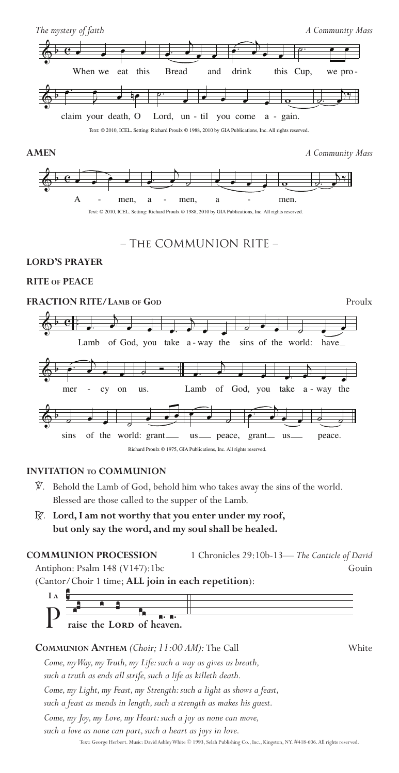



# – The COMMUNION RITE –

#### **LORD'S PRAYER**

### **RITE of PEACE**

#### **FRACTION RITE/LAMB** OF GOD Proulx  $\textcolor{black}{\diamond}$  ef  $\vdots$  $\cdot$  .  $\begin{array}{ccc} \bullet & \bullet & \bullet & \bullet \\ \bullet & \bullet & \bullet & \bullet \end{array}$ <br>Lamb of God, you take a way the  $\overline{\phantom{0}}$  $\overline{\phantom{a}}$  . - way the sins of the world: have ق ف  $\left\langle \cdot\right\rangle$  ,  $\left\langle \cdot\right\rangle$  ,  $\left\langle \cdot\right\rangle$  ,  $\left\langle \cdot\right\rangle$  $\bullet$   $\bullet$   $\bullet$   $\bullet$   $\bullet$   $\bullet$  $\overrightarrow{ }$ mer - cy on  $\frac{1}{\sigma}$ us.  $\cdot$  $\overrightarrow{a}$ Lamb of God, you  $\overrightarrow{a}$  $\begin{array}{ccc} \bullet & \bullet & \bullet & \bullet \\ \bullet & \bullet & \bullet & \bullet \end{array}$  .  $\begin{array}{ccc} \bullet & \bullet & \bullet \\ \bullet & \bullet & \bullet \end{array}$  .  $\begin{array}{ccc} \bullet & \bullet & \bullet \\ \bullet & \bullet & \bullet \end{array}$  $\overset{\bullet}{\bullet}$  . sins of the world: grant  $\overline{\phantom{a}}$  $\begin{array}{c} \begin{array}{c} \hline \hline \hline \hline \hline \end{array} \end{array}$ us \_\_\_ peace, grant \_\_ us  $\leftarrow$  $\frac{1}{\sqrt{2}}$  $\frac{1}{2}$ peace. Richard Proulx © 1975, GIA Publications, Inc. All rights reserved.

#### **INVITATION to COMMUNION**

- V. Behold the Lamb of God, behold him who takes away the sins of the world. Blessed are those called to the supper of the Lamb.
- R. **Lord, I am not worthy that you enter under my roof, but only say the word, and my soul shall be healed.**

# **COMMUNION PROCESSION** 1 Chronicles 29:10b-13— *The Canticle of David* Antiphon: Psalm 148 (V147):1bc Gouin

(Cantor/Choir 1 time; **ALL join in each repetition**):



## **Communion Anthem** *(Choir; 11:00 AM):* The Call White

*Come, my Way, my Truth, my Life: such a way as gives us breath,* 

*such a truth as ends all strife, such a life as killeth death.*

*Come, my Light, my Feast, my Strength: such a light as shows a feast,*

*such a feast as mends in length, such a strength as makes his guest.*

*Come, my Joy, my Love, my Heart: such a joy as none can move,*

*such a love as none can part, such a heart as joys in love.* 

Text: George Herbert. Music: David Ashley White © 1993, Selah Publishing Co., Inc., Kingston, NY. #418-606. All rights reserved.<br>